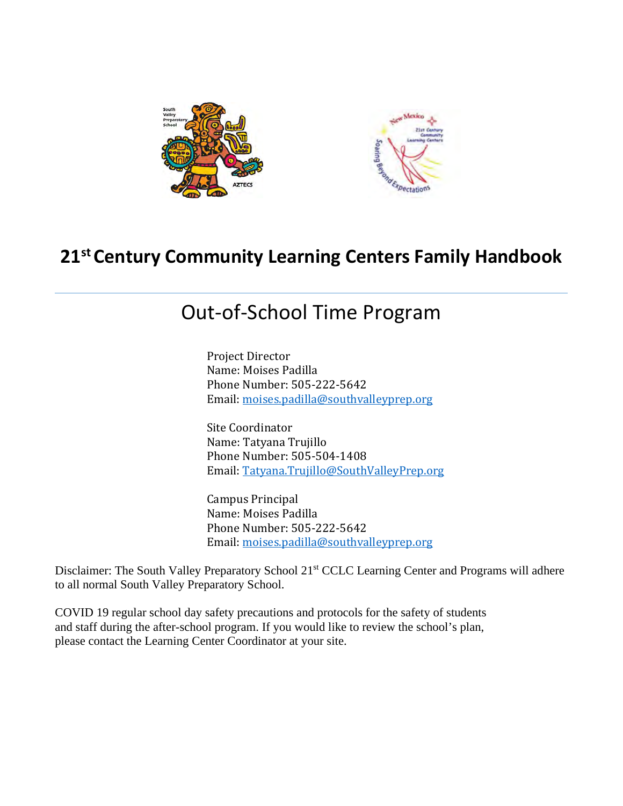



# **21st Century Community Learning Centers Family Handbook**

# Out-of-School Time Program

Project Director Name: Moises Padilla Phone Number: 505-222-5642 Email: [moises.padilla@southvalleyprep.org](mailto:moises.padilla@southvalleyprep.org) 

Site Coordinator Name: Tatyana Trujillo Phone Number: 505-504-1408 Email: [Tatyana.Trujillo@SouthValleyPrep.org](mailto:Tatyana.Trujillo@SouthValleyPrep.org) 

Campus Principal Name: Moises Padilla Phone Number: 505-222-5642 Email: [moises.padilla@southvalleyprep.org](mailto:moises.padilla@southvalleyprep.org)

Disclaimer: The South Valley Preparatory School 21<sup>st</sup> CCLC Learning Center and Programs will adhere to all normal South Valley Preparatory School.

COVID 19 regular school day safety precautions and protocols for the safety of students and staff during the after-school program. If you would like to review the school's plan, please contact the Learning Center Coordinator at your site.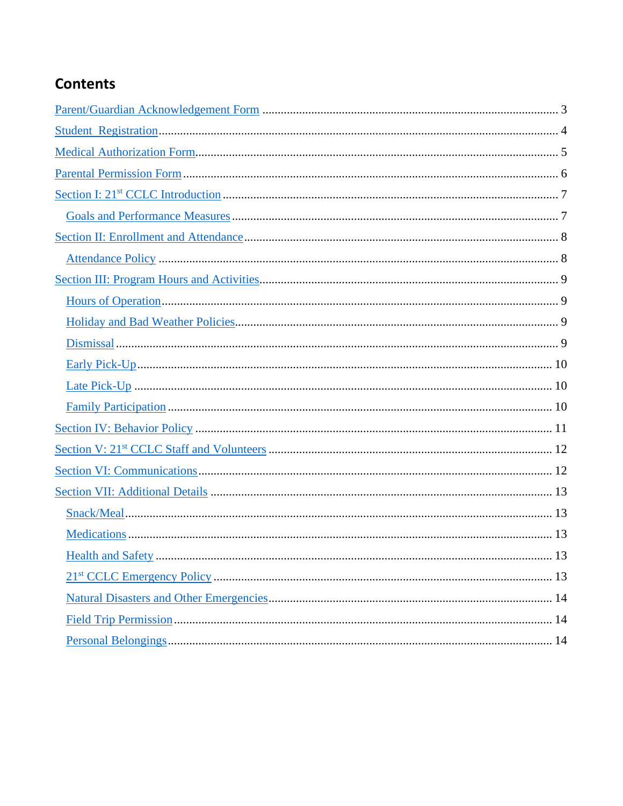## **Contents**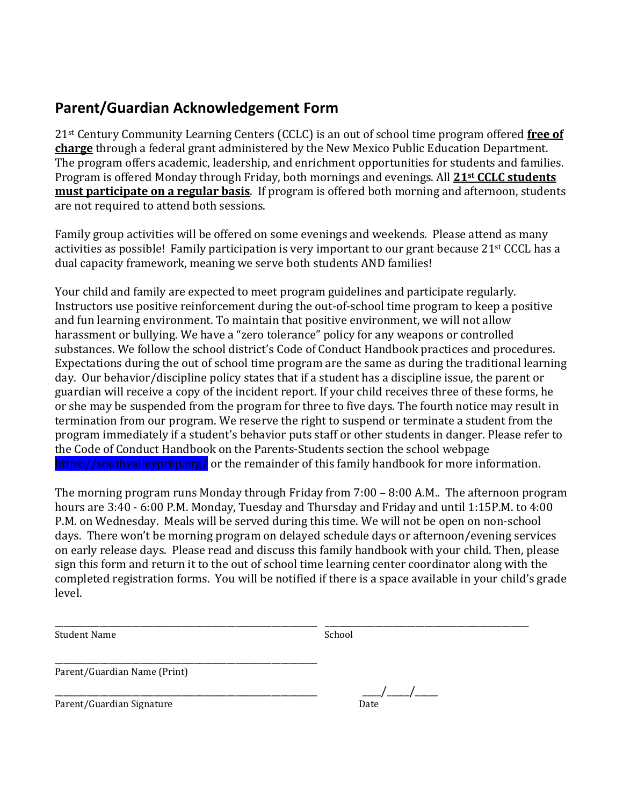## <span id="page-2-0"></span>**Parent/Guardian Acknowledgement Form**

21st Century Community Learning Centers (CCLC) is an out of school time program offered **free of charge** through a federal grant administered by the New Mexico Public Education Department. The program offers academic, leadership, and enrichment opportunities for students and families. Program is offered Monday through Friday, both mornings and evenings. All **21st CCLC students must participate on a regular basis**. If program is offered both morning and afternoon, students are not required to attend both sessions.

Family group activities will be offered on some evenings and weekends. Please attend as many activities as possible! Family participation is very important to our grant because 21st CCCL has a dual capacity framework, meaning we serve both students AND families!

Your child and family are expected to meet program guidelines and participate regularly. Instructors use positive reinforcement during the out-of-school time program to keep a positive and fun learning environment. To maintain that positive environment, we will not allow harassment or bullying. We have a "zero tolerance" policy for any weapons or controlled substances. We follow the school district's Code of Conduct Handbook practices and procedures. Expectations during the out of school time program are the same as during the traditional learning day. Our behavior/discipline policy states that if a student has a discipline issue, the parent or guardian will receive a copy of the incident report. If your child receives three of these forms, he or she may be suspended from the program for three to five days. The fourth notice may result in termination from our program. We reserve the right to suspend or terminate a student from the program immediately if a student's behavior puts staff or other students in danger. Please refer to the Code of Conduct Handbook on the Parents-Students section the school webpage https://southvalleyprep.org/ or the remainder of this family handbook for more information.

The morning program runs Monday through Friday from 7:00 – 8:00 A.M.. The afternoon program hours are 3:40 - 6:00 P.M. Monday, Tuesday and Thursday and Friday and until 1:15P.M. to 4:00 P.M. on Wednesday. Meals will be served during this time. We will not be open on non-school days. There won't be morning program on delayed schedule days or afternoon/evening services on early release days. Please read and discuss this family handbook with your child. Then, please sign this form and return it to the out of school time learning center coordinator along with the completed registration forms. You will be notified if there is a space available in your child's grade level.

| Student Name                 | School |
|------------------------------|--------|
| Parent/Guardian Name (Print) |        |
| Parent/Guardian Signature    | Date   |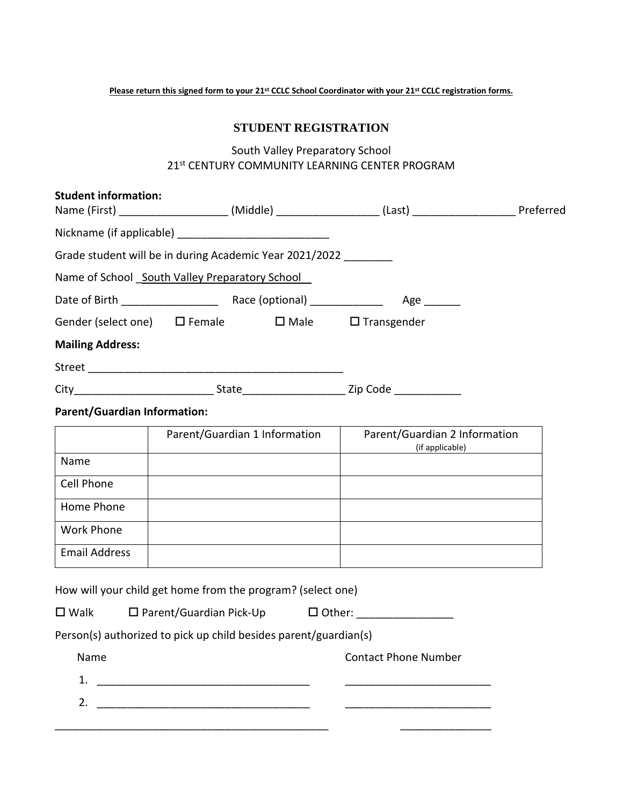<span id="page-3-0"></span>**Please return this signed form to your 21st CCLC School Coordinator with your 21st CCLC registration forms.**

### **STUDENT REGISTRATION**

### South Valley Preparatory School 21st CENTURY COMMUNITY LEARNING CENTER PROGRAM

| <b>Student information:</b>                                      | Name (First) ______________________(Middle) ___________________(Last) ______________________Preferred |                               |                                                           |  |  |
|------------------------------------------------------------------|-------------------------------------------------------------------------------------------------------|-------------------------------|-----------------------------------------------------------|--|--|
|                                                                  |                                                                                                       |                               |                                                           |  |  |
| Grade student will be in during Academic Year 2021/2022          |                                                                                                       |                               |                                                           |  |  |
| Name of School South Valley Preparatory School                   |                                                                                                       |                               |                                                           |  |  |
|                                                                  |                                                                                                       |                               |                                                           |  |  |
| Gender (select one) $\Box$ Female $\Box$ Male $\Box$ Transgender |                                                                                                       |                               |                                                           |  |  |
| <b>Mailing Address:</b>                                          |                                                                                                       |                               |                                                           |  |  |
|                                                                  |                                                                                                       |                               |                                                           |  |  |
|                                                                  |                                                                                                       |                               |                                                           |  |  |
| <b>Parent/Guardian Information:</b>                              |                                                                                                       |                               |                                                           |  |  |
|                                                                  |                                                                                                       | Parent/Guardian 1 Information | Parent/Guardian 2 Information<br>(if applicable)          |  |  |
| Name                                                             |                                                                                                       |                               |                                                           |  |  |
| Cell Phone                                                       |                                                                                                       |                               |                                                           |  |  |
| Home Phone                                                       |                                                                                                       |                               |                                                           |  |  |
| <b>Work Phone</b>                                                |                                                                                                       |                               |                                                           |  |  |
| <b>Email Address</b>                                             |                                                                                                       |                               |                                                           |  |  |
| How will your child get home from the program? (select one)      |                                                                                                       |                               |                                                           |  |  |
|                                                                  |                                                                                                       |                               | □ Walk □ Parent/Guardian Pick-Up □ Other: _______________ |  |  |
| Person(s) authorized to pick up child besides parent/guardian(s) |                                                                                                       |                               |                                                           |  |  |
| Name                                                             |                                                                                                       |                               | <b>Contact Phone Number</b>                               |  |  |
| 1.                                                               |                                                                                                       |                               |                                                           |  |  |
| 2.                                                               |                                                                                                       |                               |                                                           |  |  |
|                                                                  |                                                                                                       |                               |                                                           |  |  |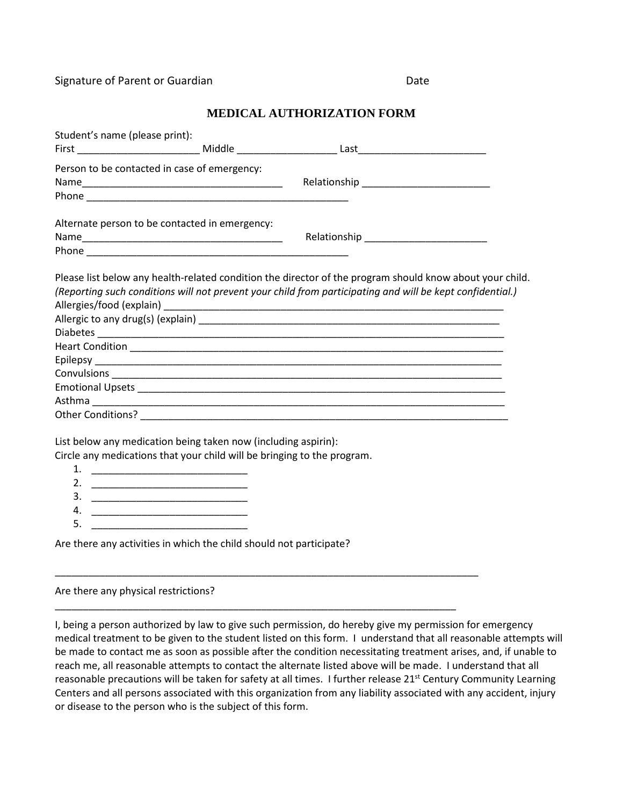<span id="page-4-0"></span>Signature of Parent or Guardian Date Date Date

#### **MEDICAL AUTHORIZATION FORM**

| Student's name (please print):                                                                                                                  |                                                                                                                                                                                                                       |
|-------------------------------------------------------------------------------------------------------------------------------------------------|-----------------------------------------------------------------------------------------------------------------------------------------------------------------------------------------------------------------------|
| Person to be contacted in case of emergency:                                                                                                    |                                                                                                                                                                                                                       |
| Alternate person to be contacted in emergency:                                                                                                  | Relationship ________________________                                                                                                                                                                                 |
|                                                                                                                                                 | Please list below any health-related condition the director of the program should know about your child.<br>(Reporting such conditions will not prevent your child from participating and will be kept confidential.) |
|                                                                                                                                                 |                                                                                                                                                                                                                       |
|                                                                                                                                                 |                                                                                                                                                                                                                       |
|                                                                                                                                                 |                                                                                                                                                                                                                       |
|                                                                                                                                                 |                                                                                                                                                                                                                       |
|                                                                                                                                                 |                                                                                                                                                                                                                       |
| List below any medication being taken now (including aspirin):<br>Circle any medications that your child will be bringing to the program.<br>4. |                                                                                                                                                                                                                       |

Are there any activities in which the child should not participate?

#### Are there any physical restrictions?

I, being a person authorized by law to give such permission, do hereby give my permission for emergency medical treatment to be given to the student listed on this form. I understand that all reasonable attempts will be made to contact me as soon as possible after the condition necessitating treatment arises, and, if unable to reach me, all reasonable attempts to contact the alternate listed above will be made. I understand that all reasonable precautions will be taken for safety at all times. I further release 21<sup>st</sup> Century Community Learning Centers and all persons associated with this organization from any liability associated with any accident, injury or disease to the person who is the subject of this form.

\_\_\_\_\_\_\_\_\_\_\_\_\_\_\_\_\_\_\_\_\_\_\_\_\_\_\_\_\_\_\_\_\_\_\_\_\_\_\_\_\_\_\_\_\_\_\_\_\_\_\_\_\_\_\_\_\_\_\_\_\_\_\_\_\_\_\_\_\_\_\_\_\_\_\_\_

\_\_\_\_\_\_\_\_\_\_\_\_\_\_\_\_\_\_\_\_\_\_\_\_\_\_\_\_\_\_\_\_\_\_\_\_\_\_\_\_\_\_\_\_\_\_\_\_\_\_\_\_\_\_\_\_\_\_\_\_\_\_\_\_\_\_\_\_\_\_\_\_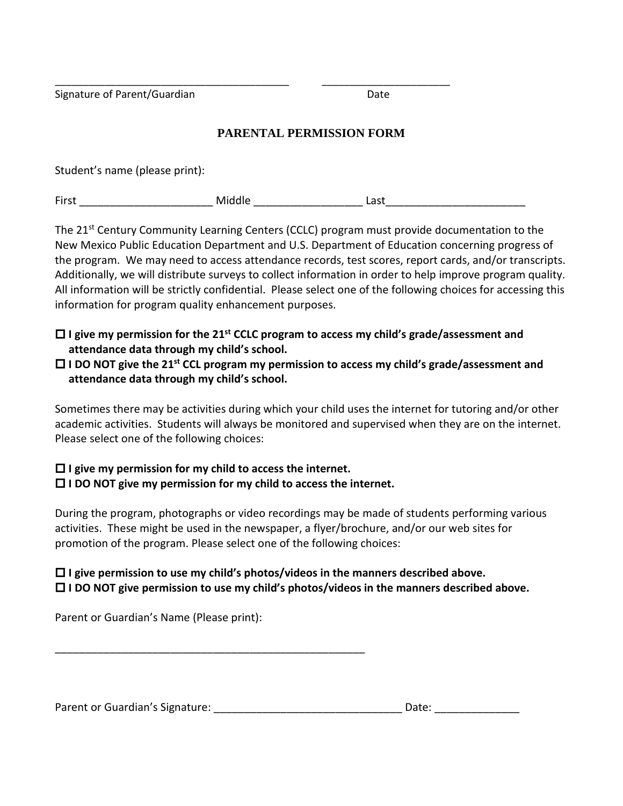<span id="page-5-0"></span>Signature of Parent/Guardian Date

## **PARENTAL PERMISSION FORM**

Student's name (please print):

| $-$<br>. |  |  |  |  |  |
|----------|--|--|--|--|--|
|----------|--|--|--|--|--|

\_\_\_\_\_\_\_\_\_\_\_\_\_\_\_\_\_\_\_\_\_\_\_\_\_\_\_\_\_\_\_\_\_\_\_\_\_\_\_\_\_\_ \_\_\_\_\_\_\_\_\_\_\_\_\_\_\_\_\_\_\_\_\_\_\_

The 21<sup>st</sup> Century Community Learning Centers (CCLC) program must provide documentation to the New Mexico Public Education Department and U.S. Department of Education concerning progress of the program. We may need to access attendance records, test scores, report cards, and/or transcripts. Additionally, we will distribute surveys to collect information in order to help improve program quality. All information will be strictly confidential. Please select one of the following choices for accessing this information for program quality enhancement purposes.

 **I give my permission for the 21st CCLC program to access my child's grade/assessment and attendance data through my child's school.**

### **I DO NOT give the 21st CCL program my permission to access my child's grade/assessment and attendance data through my child's school.**

Sometimes there may be activities during which your child uses the internet for tutoring and/or other academic activities. Students will always be monitored and supervised when they are on the internet. Please select one of the following choices:

 **I give my permission for my child to access the internet. I DO NOT give my permission for my child to access the internet.**

\_\_\_\_\_\_\_\_\_\_\_\_\_\_\_\_\_\_\_\_\_\_\_\_\_\_\_\_\_\_\_\_\_\_\_\_\_\_\_\_\_\_\_\_\_\_\_\_\_\_\_

During the program, photographs or video recordings may be made of students performing various activities. These might be used in the newspaper, a flyer/brochure, and/or our web sites for promotion of the program. Please select one of the following choices:

## **I give permission to use my child's photos/videos in the manners described above. I DO NOT give permission to use my child's photos/videos in the manners described above.**

Parent or Guardian's Name (Please print):

Parent or Guardian's Signature: \_\_\_\_\_\_\_\_\_\_\_\_\_\_\_\_\_\_\_\_\_\_\_\_\_\_\_\_\_\_\_ Date: \_\_\_\_\_\_\_\_\_\_\_\_\_\_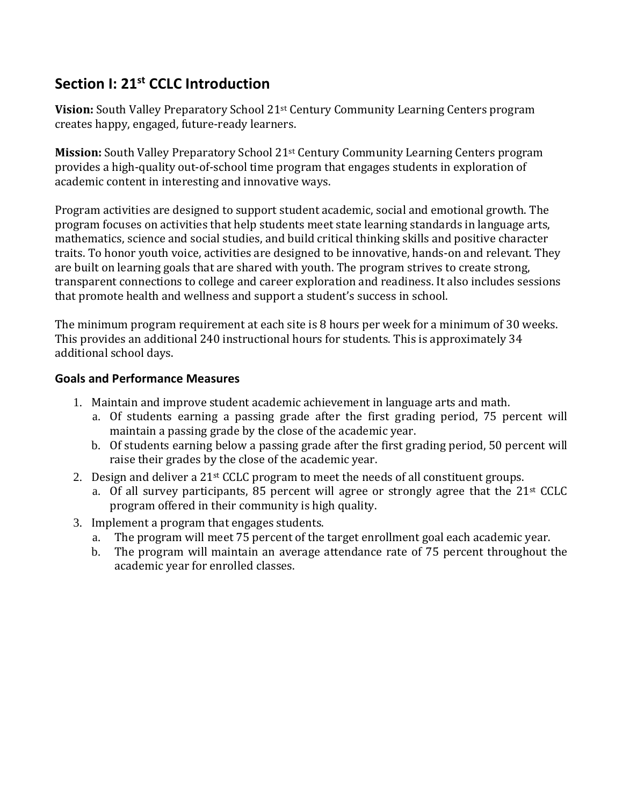## <span id="page-6-0"></span>**Section I: 21st CCLC Introduction**

**Vision:** South Valley Preparatory School 21st Century Community Learning Centers program creates happy, engaged, future-ready learners.

**Mission:** South Valley Preparatory School 21st Century Community Learning Centers program provides a high-quality out-of-school time program that engages students in exploration of academic content in interesting and innovative ways.

Program activities are designed to support student academic, social and emotional growth. The program focuses on activities that help students meet state learning standards in language arts, mathematics, science and social studies, and build critical thinking skills and positive character traits. To honor youth voice, activities are designed to be innovative, hands-on and relevant. They are built on learning goals that are shared with youth. The program strives to create strong, transparent connections to college and career exploration and readiness. It also includes sessions that promote health and wellness and support a student's success in school.

The minimum program requirement at each site is 8 hours per week for a minimum of 30 weeks. This provides an additional 240 instructional hours for students. This is approximately 34 additional school days.

### <span id="page-6-1"></span>**Goals and Performance Measures**

- 1. Maintain and improve student academic achievement in language arts and math.
	- a. Of students earning a passing grade after the first grading period, 75 percent will maintain a passing grade by the close of the academic year.
	- b. Of students earning below a passing grade after the first grading period, 50 percent will raise their grades by the close of the academic year.
- 2. Design and deliver a 21st CCLC program to meet the needs of all constituent groups.
	- a. Of all survey participants, 85 percent will agree or strongly agree that the  $21<sup>st</sup>$  CCLC program offered in their community is high quality.
- 3. Implement a program that engages students.
	- a. The program will meet 75 percent of the target enrollment goal each academic year.
	- The program will maintain an average attendance rate of 75 percent throughout the academic year for enrolled classes.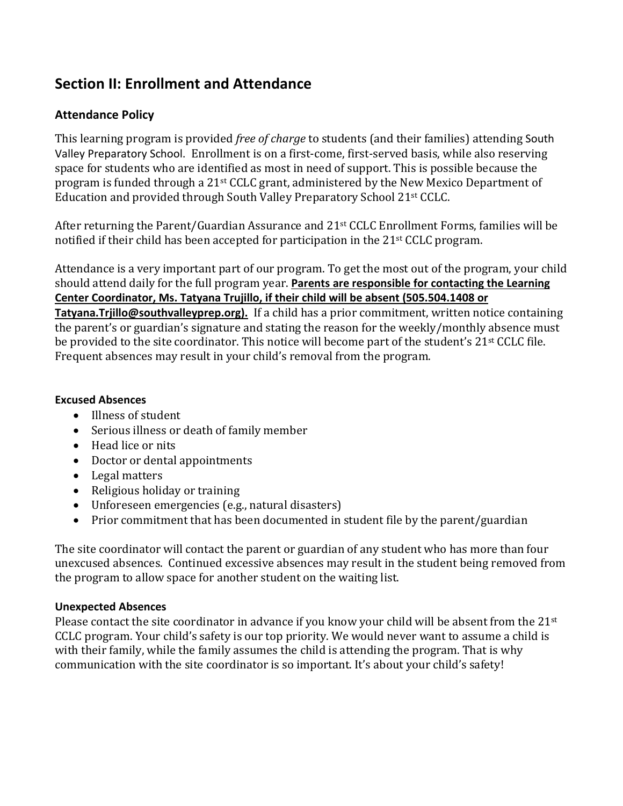## <span id="page-7-0"></span>**Section II: Enrollment and Attendance**

## <span id="page-7-1"></span>**Attendance Policy**

This learning program is provided *free of charge* to students (and their families) attending South Valley Preparatory School. Enrollment is on a first-come, first-served basis, while also reserving space for students who are identified as most in need of support. This is possible because the program is funded through a 21st CCLC grant, administered by the New Mexico Department of Education and provided through South Valley Preparatory School 21st CCLC.

After returning the Parent/Guardian Assurance and 21st CCLC Enrollment Forms, families will be notified if their child has been accepted for participation in the 21st CCLC program.

Attendance is a very important part of our program. To get the most out of the program, your child should attend daily for the full program year. **Parents are responsible for contacting the Learning Center Coordinator, Ms. Tatyana Trujillo, if their child will be absent (505.504.1408 or Tatyana.Trjillo@southvalleyprep.org).** If a child has a prior commitment, written notice containing the parent's or guardian's signature and stating the reason for the weekly/monthly absence must be provided to the site coordinator. This notice will become part of the student's 21<sup>st</sup> CCLC file. Frequent absences may result in your child's removal from the program.

#### **Excused Absences**

- Illness of student
- Serious illness or death of family member
- Head lice or nits
- Doctor or dental appointments
- Legal matters
- Religious holiday or training
- Unforeseen emergencies (e.g., natural disasters)
- Prior commitment that has been documented in student file by the parent/guardian

The site coordinator will contact the parent or guardian of any student who has more than four unexcused absences. Continued excessive absences may result in the student being removed from the program to allow space for another student on the waiting list.

### **Unexpected Absences**

Please contact the site coordinator in advance if you know your child will be absent from the 21<sup>st</sup> CCLC program. Your child's safety is our top priority. We would never want to assume a child is with their family, while the family assumes the child is attending the program. That is why communication with the site coordinator is so important. It's about your child's safety!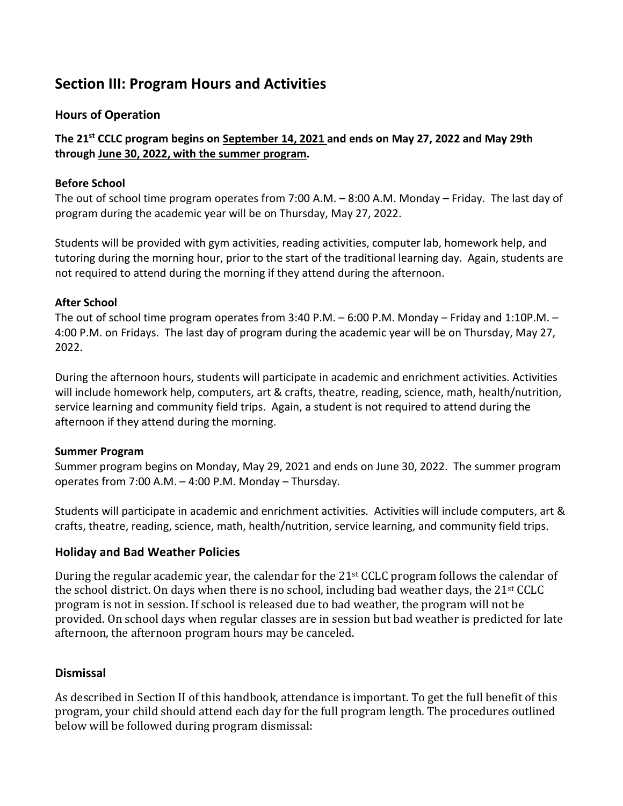## <span id="page-8-0"></span>**Section III: Program Hours and Activities**

## <span id="page-8-1"></span>**Hours of Operation**

**The 21st CCLC program begins on September 14, 2021 and ends on May 27, 2022 and May 29th through June 30, 2022, with the summer program.** 

#### **Before School**

The out of school time program operates from 7:00 A.M. – 8:00 A.M. Monday – Friday. The last day of program during the academic year will be on Thursday, May 27, 2022.

Students will be provided with gym activities, reading activities, computer lab, homework help, and tutoring during the morning hour, prior to the start of the traditional learning day. Again, students are not required to attend during the morning if they attend during the afternoon.

#### **After School**

The out of school time program operates from 3:40 P.M. – 6:00 P.M. Monday – Friday and 1:10P.M. – 4:00 P.M. on Fridays. The last day of program during the academic year will be on Thursday, May 27, 2022.

During the afternoon hours, students will participate in academic and enrichment activities. Activities will include homework help, computers, art & crafts, theatre, reading, science, math, health/nutrition, service learning and community field trips. Again, a student is not required to attend during the afternoon if they attend during the morning.

#### **Summer Program**

Summer program begins on Monday, May 29, 2021 and ends on June 30, 2022. The summer program operates from 7:00 A.M. – 4:00 P.M. Monday – Thursday.

Students will participate in academic and enrichment activities. Activities will include computers, art & crafts, theatre, reading, science, math, health/nutrition, service learning, and community field trips.

### <span id="page-8-2"></span>**Holiday and Bad Weather Policies**

During the regular academic year, the calendar for the 21st CCLC program follows the calendar of the school district. On days when there is no school, including bad weather days, the 21st CCLC program is not in session. If school is released due to bad weather, the program will not be provided. On school days when regular classes are in session but bad weather is predicted for late afternoon, the afternoon program hours may be canceled.

### <span id="page-8-3"></span>**Dismissal**

As described in Section II of this handbook, attendance is important. To get the full benefit of this program, your child should attend each day for the full program length. The procedures outlined below will be followed during program dismissal: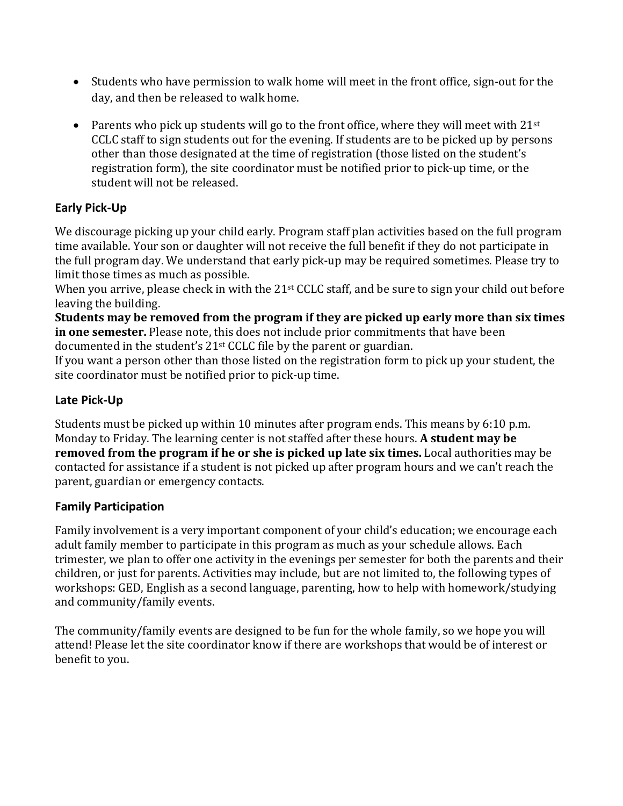- Students who have permission to walk home will meet in the front office, sign-out for the day, and then be released to walk home.
- Parents who pick up students will go to the front office, where they will meet with  $21^{st}$ CCLC staff to sign students out for the evening. If students are to be picked up by persons other than those designated at the time of registration (those listed on the student's registration form), the site coordinator must be notified prior to pick-up time, or the student will not be released.

## <span id="page-9-0"></span>**Early Pick-Up**

We discourage picking up your child early. Program staff plan activities based on the full program time available. Your son or daughter will not receive the full benefit if they do not participate in the full program day. We understand that early pick-up may be required sometimes. Please try to limit those times as much as possible.

When you arrive, please check in with the 21<sup>st</sup> CCLC staff, and be sure to sign your child out before leaving the building.

**Students may be removed from the program if they are picked up early more than six times in one semester.** Please note, this does not include prior commitments that have been documented in the student's 21st CCLC file by the parent or guardian.

If you want a person other than those listed on the registration form to pick up your student, the site coordinator must be notified prior to pick-up time.

### <span id="page-9-1"></span>**Late Pick-Up**

Students must be picked up within 10 minutes after program ends. This means by 6:10 p.m. Monday to Friday. The learning center is not staffed after these hours. **A student may be removed from the program if he or she is picked up late six times.** Local authorities may be contacted for assistance if a student is not picked up after program hours and we can't reach the parent, guardian or emergency contacts.

### <span id="page-9-2"></span>**Family Participation**

Family involvement is a very important component of your child's education; we encourage each adult family member to participate in this program as much as your schedule allows. Each trimester, we plan to offer one activity in the evenings per semester for both the parents and their children, or just for parents. Activities may include, but are not limited to, the following types of workshops: GED, English as a second language, parenting, how to help with homework/studying and community/family events.

The community/family events are designed to be fun for the whole family, so we hope you will attend! Please let the site coordinator know if there are workshops that would be of interest or benefit to you.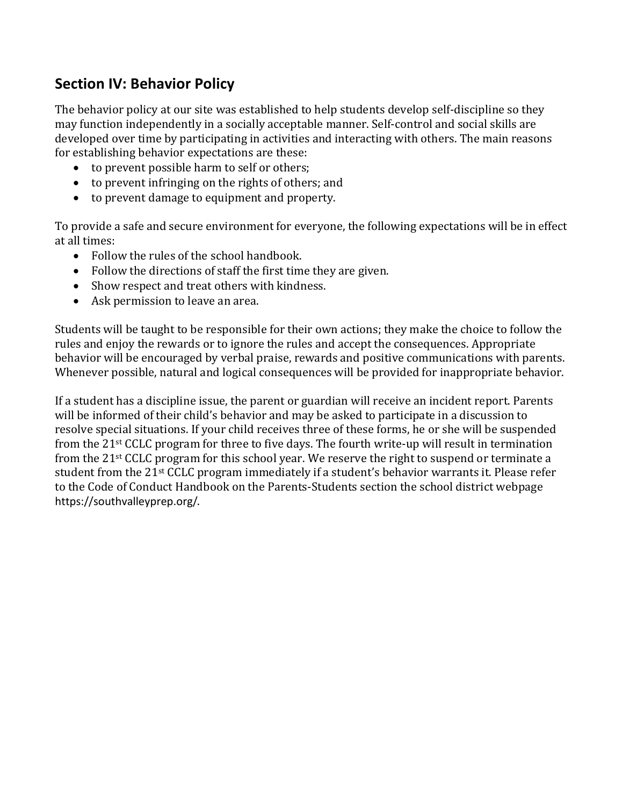## <span id="page-10-0"></span>**Section IV: Behavior Policy**

The behavior policy at our site was established to help students develop self-discipline so they may function independently in a socially acceptable manner. Self-control and social skills are developed over time by participating in activities and interacting with others. The main reasons for establishing behavior expectations are these:

- to prevent possible harm to self or others;
- to prevent infringing on the rights of others; and
- to prevent damage to equipment and property.

To provide a safe and secure environment for everyone, the following expectations will be in effect at all times:

- Follow the rules of the school handbook.
- Follow the directions of staff the first time they are given.
- Show respect and treat others with kindness.
- Ask permission to leave an area.

Students will be taught to be responsible for their own actions; they make the choice to follow the rules and enjoy the rewards or to ignore the rules and accept the consequences. Appropriate behavior will be encouraged by verbal praise, rewards and positive communications with parents. Whenever possible, natural and logical consequences will be provided for inappropriate behavior.

If a student has a discipline issue, the parent or guardian will receive an incident report. Parents will be informed of their child's behavior and may be asked to participate in a discussion to resolve special situations. If your child receives three of these forms, he or she will be suspended from the 21st CCLC program for three to five days. The fourth write-up will result in termination from the 21st CCLC program for this school year. We reserve the right to suspend or terminate a student from the 21st CCLC program immediately if a student's behavior warrants it. Please refer to the Code of Conduct Handbook on the Parents-Students section the school district webpage https://southvalleyprep.org/.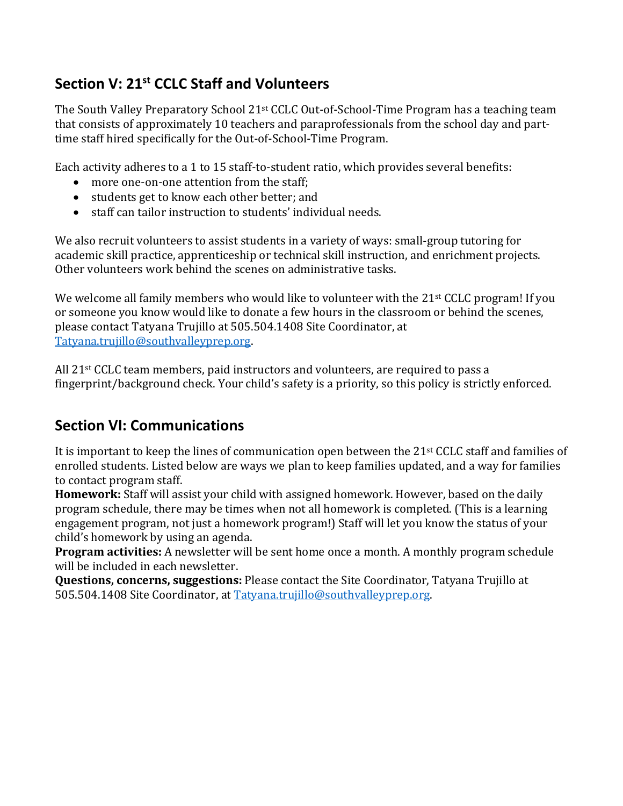## <span id="page-11-0"></span>**Section V: 21st CCLC Staff and Volunteers**

The South Valley Preparatory School 21st CCLC Out-of-School-Time Program has a teaching team that consists of approximately 10 teachers and paraprofessionals from the school day and parttime staff hired specifically for the Out-of-School-Time Program.

Each activity adheres to a 1 to 15 staff-to-student ratio, which provides several benefits:

- more one-on-one attention from the staff;
- students get to know each other better; and
- staff can tailor instruction to students' individual needs.

We also recruit volunteers to assist students in a variety of ways: small-group tutoring for academic skill practice, apprenticeship or technical skill instruction, and enrichment projects. Other volunteers work behind the scenes on administrative tasks.

We welcome all family members who would like to volunteer with the 21<sup>st</sup> CCLC program! If you or someone you know would like to donate a few hours in the classroom or behind the scenes, please contact Tatyana Trujillo at 505.504.1408 Site Coordinator, at [Tatyana.trujillo@southvalleyprep.org.](mailto:Tatyana.trujillo@southvalleyprep.org)

All 21st CCLC team members, paid instructors and volunteers, are required to pass a fingerprint/background check. Your child's safety is a priority, so this policy is strictly enforced.

## <span id="page-11-1"></span>**Section VI: Communications**

It is important to keep the lines of communication open between the 21st CCLC staff and families of enrolled students. Listed below are ways we plan to keep families updated, and a way for families to contact program staff.

**Homework:** Staff will assist your child with assigned homework. However, based on the daily program schedule, there may be times when not all homework is completed. (This is a learning engagement program, not just a homework program!) Staff will let you know the status of your child's homework by using an agenda.

**Program activities:** A newsletter will be sent home once a month. A monthly program schedule will be included in each newsletter.

**Questions, concerns, suggestions:** Please contact the Site Coordinator, Tatyana Trujillo at 505.504.1408 Site Coordinator, at [Tatyana.trujillo@southvalleyprep.org.](mailto:Tatyana.trujillo@southvalleyprep.org)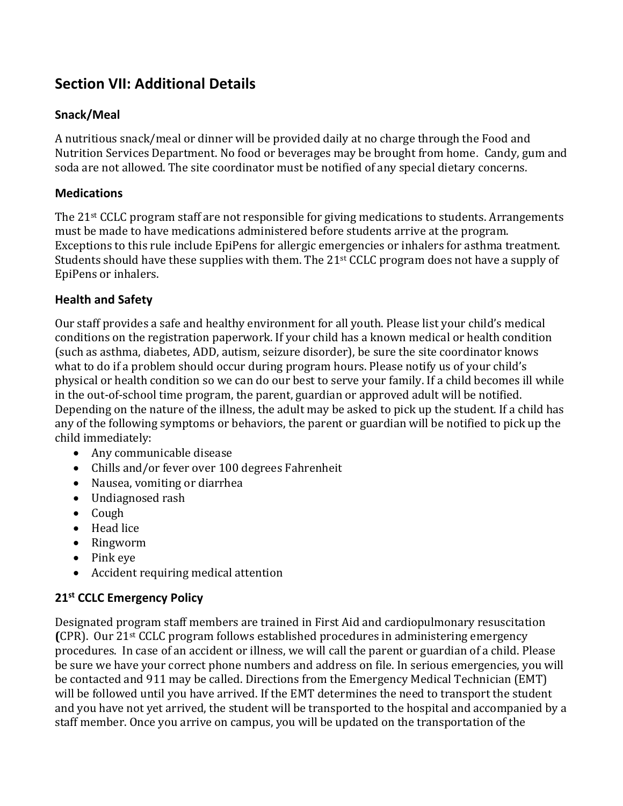## <span id="page-12-0"></span>**Section VII: Additional Details**

## <span id="page-12-1"></span>**Snack/Meal**

A nutritious snack/meal or dinner will be provided daily at no charge through the Food and Nutrition Services Department. No food or beverages may be brought from home. Candy, gum and soda are not allowed. The site coordinator must be notified of any special dietary concerns.

## <span id="page-12-2"></span>**Medications**

The 21st CCLC program staff are not responsible for giving medications to students. Arrangements must be made to have medications administered before students arrive at the program. Exceptions to this rule include EpiPens for allergic emergencies or inhalers for asthma treatment. Students should have these supplies with them. The 21<sup>st</sup> CCLC program does not have a supply of EpiPens or inhalers.

## <span id="page-12-3"></span>**Health and Safety**

Our staff provides a safe and healthy environment for all youth. Please list your child's medical conditions on the registration paperwork. If your child has a known medical or health condition (such as asthma, diabetes, ADD, autism, seizure disorder), be sure the site coordinator knows what to do if a problem should occur during program hours. Please notify us of your child's physical or health condition so we can do our best to serve your family. If a child becomes ill while in the out-of-school time program, the parent, guardian or approved adult will be notified. Depending on the nature of the illness, the adult may be asked to pick up the student. If a child has any of the following symptoms or behaviors, the parent or guardian will be notified to pick up the child immediately:

- Any communicable disease
- Chills and/or fever over 100 degrees Fahrenheit
- Nausea, vomiting or diarrhea
- Undiagnosed rash
- Cough
- Head lice
- Ringworm
- Pink eye
- Accident requiring medical attention

## <span id="page-12-4"></span>**21st CCLC Emergency Policy**

Designated program staff members are trained in First Aid and cardiopulmonary resuscitation **(**CPR).Our 21st CCLC program follows established procedures in administering emergency procedures. In case of an accident or illness, we will call the parent or guardian of a child. Please be sure we have your correct phone numbers and address on file. In serious emergencies, you will be contacted and 911 may be called. Directions from the Emergency Medical Technician (EMT) will be followed until you have arrived. If the EMT determines the need to transport the student and you have not yet arrived, the student will be transported to the hospital and accompanied by a staff member. Once you arrive on campus, you will be updated on the transportation of the